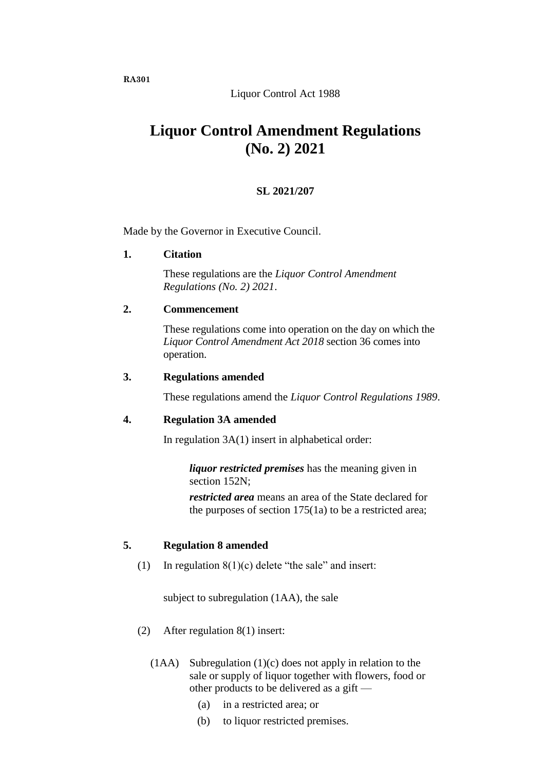# Liquor Control Act 1988

# **Liquor Control Amendment Regulations (No. 2) 2021**

# **SL 2021/207**

Made by the Governor in Executive Council.

#### **1. Citation**

These regulations are the *Liquor Control Amendment Regulations (No. 2) 2021*.

#### **2. Commencement**

These regulations come into operation on the day on which the *Liquor Control Amendment Act 2018* section 36 comes into operation.

#### **3. Regulations amended**

These regulations amend the *Liquor Control Regulations 1989*.

### **4. Regulation 3A amended**

In regulation  $3A(1)$  insert in alphabetical order:

*liquor restricted premises* has the meaning given in section 152N:

*restricted area* means an area of the State declared for the purposes of section 175(1a) to be a restricted area;

### **5. Regulation 8 amended**

(1) In regulation  $8(1)(c)$  delete "the sale" and insert:

subject to subregulation (1AA), the sale

- (2) After regulation 8(1) insert:
	- (1AA) Subregulation (1)(c) does not apply in relation to the sale or supply of liquor together with flowers, food or other products to be delivered as a gift —
		- (a) in a restricted area; or
		- (b) to liquor restricted premises.

**RA301**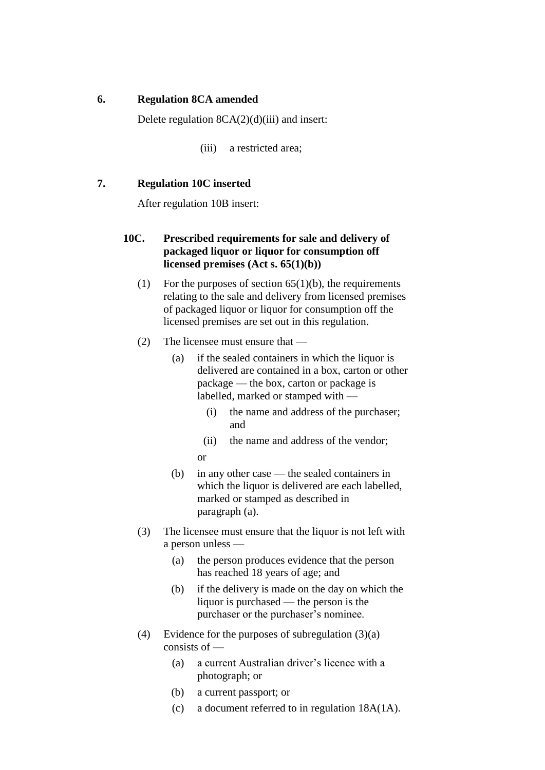### **6. Regulation 8CA amended**

Delete regulation 8CA(2)(d)(iii) and insert:

(iii) a restricted area;

### **7. Regulation 10C inserted**

After regulation 10B insert:

# **10C. Prescribed requirements for sale and delivery of packaged liquor or liquor for consumption off licensed premises (Act s. 65(1)(b))**

- (1) For the purposes of section  $65(1)(b)$ , the requirements relating to the sale and delivery from licensed premises of packaged liquor or liquor for consumption off the licensed premises are set out in this regulation.
- (2) The licensee must ensure that
	- (a) if the sealed containers in which the liquor is delivered are contained in a box, carton or other package — the box, carton or package is labelled, marked or stamped with —
		- (i) the name and address of the purchaser; and
		- (ii) the name and address of the vendor;

or

- (b) in any other case the sealed containers in which the liquor is delivered are each labelled, marked or stamped as described in paragraph (a).
- (3) The licensee must ensure that the liquor is not left with a person unless —
	- (a) the person produces evidence that the person has reached 18 years of age; and
	- (b) if the delivery is made on the day on which the liquor is purchased — the person is the purchaser or the purchaser's nominee.
- (4) Evidence for the purposes of subregulation (3)(a) consists of —
	- (a) a current Australian driver's licence with a photograph; or
	- (b) a current passport; or
	- (c) a document referred to in regulation 18A(1A).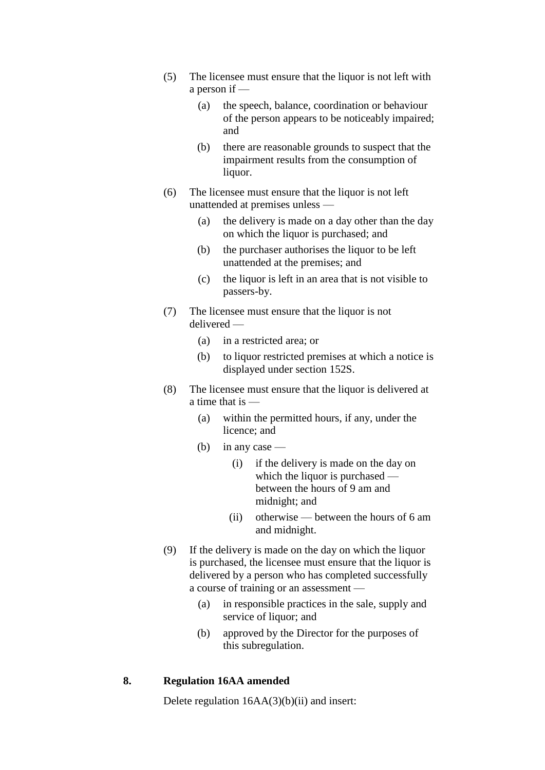- (5) The licensee must ensure that the liquor is not left with a person if —
	- (a) the speech, balance, coordination or behaviour of the person appears to be noticeably impaired; and
	- (b) there are reasonable grounds to suspect that the impairment results from the consumption of liquor.
- (6) The licensee must ensure that the liquor is not left unattended at premises unless —
	- (a) the delivery is made on a day other than the day on which the liquor is purchased; and
	- (b) the purchaser authorises the liquor to be left unattended at the premises; and
	- (c) the liquor is left in an area that is not visible to passers-by.
- (7) The licensee must ensure that the liquor is not delivered —
	- (a) in a restricted area; or
	- (b) to liquor restricted premises at which a notice is displayed under section 152S.
- (8) The licensee must ensure that the liquor is delivered at a time that is —
	- (a) within the permitted hours, if any, under the licence; and
	- (b) in any case
		- (i) if the delivery is made on the day on which the liquor is purchased between the hours of 9 am and midnight; and
		- (ii) otherwise between the hours of 6 am and midnight.
- (9) If the delivery is made on the day on which the liquor is purchased, the licensee must ensure that the liquor is delivered by a person who has completed successfully a course of training or an assessment —
	- (a) in responsible practices in the sale, supply and service of liquor; and
	- (b) approved by the Director for the purposes of this subregulation.

### **8. Regulation 16AA amended**

Delete regulation  $16AA(3)(b)(ii)$  and insert: